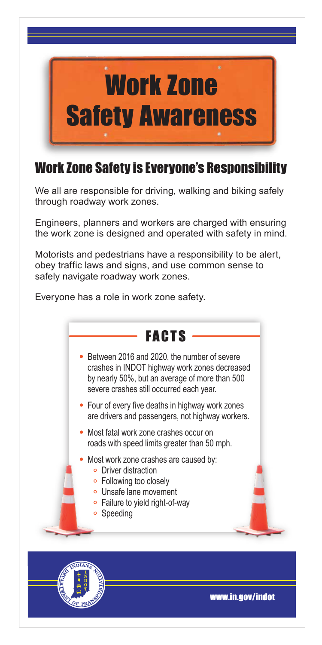

## Work Zone Safety is Everyone's Responsibility

We all are responsible for driving, walking and biking safely through roadway work zones.

Engineers, planners and workers are charged with ensuring the work zone is designed and operated with safety in mind.

Motorists and pedestrians have a responsibility to be alert, obey traffic laws and signs, and use common sense to safely navigate roadway work zones.

Everyone has a role in work zone safety.





www.in.gov/indot